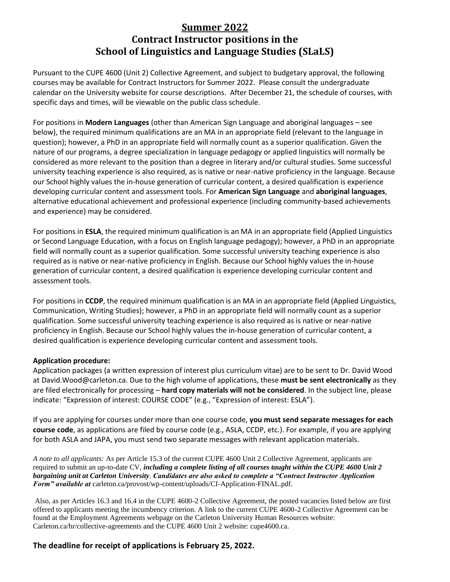## **Summer 2022 Contract Instructor positions in the School of Linguistics and Language Studies (SLaLS)**

Pursuant to the CUPE 4600 (Unit 2) Collective Agreement, and subject to budgetary approval, the following courses may be available for Contract Instructors for Summer 2022. Please consult the undergraduate calendar on the University website for course descriptions. After December 21, the schedule of courses, with specific days and times, will be viewable on the public class schedule.

For positions in **Modern Languages** (other than American Sign Language and aboriginal languages – see below), the required minimum qualifications are an MA in an appropriate field (relevant to the language in question); however, a PhD in an appropriate field will normally count as a superior qualification. Given the nature of our programs, a degree specialization in language pedagogy or applied linguistics will normally be considered as more relevant to the position than a degree in literary and/or cultural studies. Some successful university teaching experience is also required, as is native or near-native proficiency in the language. Because our School highly values the in-house generation of curricular content, a desired qualification is experience developing curricular content and assessment tools. For **American Sign Language** and **aboriginal languages**, alternative educational achievement and professional experience (including community-based achievements and experience) may be considered.

For positions in **ESLA**, the required minimum qualification is an MA in an appropriate field (Applied Linguistics or Second Language Education, with a focus on English language pedagogy); however, a PhD in an appropriate field will normally count as a superior qualification. Some successful university teaching experience is also required as is native or near-native proficiency in English. Because our School highly values the in-house generation of curricular content, a desired qualification is experience developing curricular content and assessment tools.

For positions in **CCDP**, the required minimum qualification is an MA in an appropriate field (Applied Linguistics, Communication, Writing Studies); however, a PhD in an appropriate field will normally count as a superior qualification. Some successful university teaching experience is also required as is native or near-native proficiency in English. Because our School highly values the in-house generation of curricular content, a desired qualification is experience developing curricular content and assessment tools.

## **Application procedure:**

Application packages (a written expression of interest plus curriculum vitae) are to be sent to Dr. David Wood at David.Wood@carleton.ca. Due to the high volume of applications, these **must be sent electronically** as they are filed electronically for processing – **hard copy materials will not be considered**. In the subject line, please indicate: "Expression of interest: COURSE CODE" (e.g., "Expression of interest: ESLA").

If you are applying for courses under more than one course code, **you must send separate messages for each course code**, as applications are filed by course code (e.g., ASLA, CCDP, etc.). For example, if you are applying for both ASLA and JAPA, you must send two separate messages with relevant application materials.

*A note to all applicants:* As per Article 15.3 of the current CUPE 4600 Unit 2 Collective Agreement, applicants are required to submit an up-to-date CV, *including a complete listing of all courses taught within the CUPE 4600 Unit 2 bargaining unit at Carleton University*. *Candidates are also asked to complete a "Contract Instructor Application Form" available at* carleton.ca/provost/wp-content/uploads/CI-Application-FINAL.pdf.

Also, as per Articles 16.3 and 16.4 in the CUPE 4600-2 Collective Agreement, the posted vacancies listed below are first offered to applicants meeting the incumbency criterion. A link to the current CUPE 4600-2 Collective Agreement can be found at the Employment Agreements webpage on the Carleton University Human Resources website: Carleton.ca/hr/collective-agreements and the CUPE 4600 Unit 2 website: cupe4600.ca.

**The deadline for receipt of applications is February 25, 2022.**